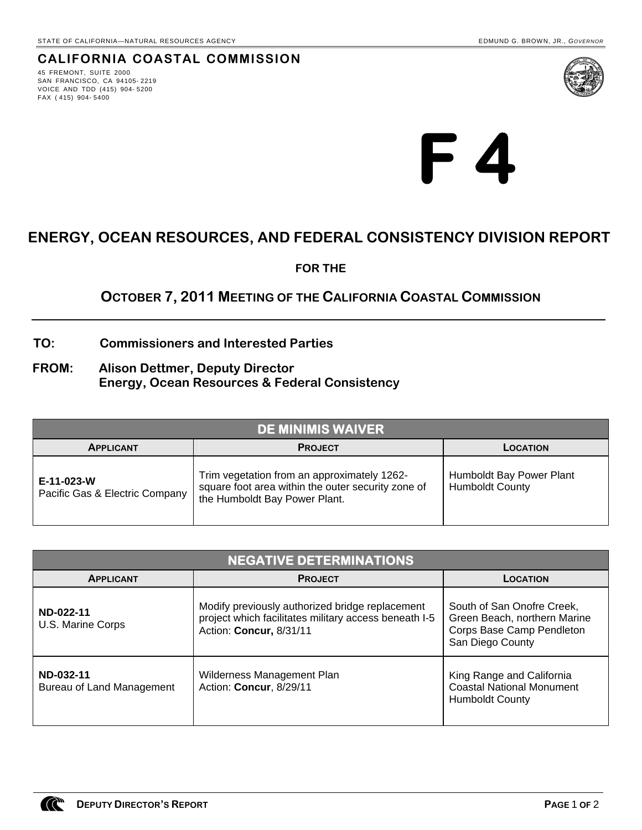45 FREMONT, SUITE 2000 SAN FRANCISCO, CA 94105- 2219 VOICE AND TDD (415) 904- 5200 FAX ( 415) 904- 5400



**F 4** 

# **ENERGY, OCEAN RESOURCES, AND FEDERAL CONSISTENCY DIVISION REPORT**

**FOR THE**

## **OCTOBER 7, 2011 MEETING OF THE CALIFORNIA COASTAL COMMISSION**

### **TO: Commissioners and Interested Parties**

**FROM: Alison Dettmer, Deputy Director Energy, Ocean Resources & Federal Consistency** 

| <b>DE MINIMIS WAIVER</b>                     |                                                                                                                                    |                                                    |  |  |
|----------------------------------------------|------------------------------------------------------------------------------------------------------------------------------------|----------------------------------------------------|--|--|
| <b>APPLICANT</b>                             | <b>PROJECT</b>                                                                                                                     | LOCATION                                           |  |  |
| E-11-023-W<br>Pacific Gas & Electric Company | Trim vegetation from an approximately 1262-<br>square foot area within the outer security zone of<br>the Humboldt Bay Power Plant. | Humboldt Bay Power Plant<br><b>Humboldt County</b> |  |  |

| <b>NEGATIVE DETERMINATIONS</b>         |                                                                                                                                     |                                                                                                             |  |  |
|----------------------------------------|-------------------------------------------------------------------------------------------------------------------------------------|-------------------------------------------------------------------------------------------------------------|--|--|
| <b>APPLICANT</b>                       | <b>PROJECT</b>                                                                                                                      | LOCATION                                                                                                    |  |  |
| ND-022-11<br>U.S. Marine Corps         | Modify previously authorized bridge replacement<br>project which facilitates military access beneath I-5<br>Action: Concur, 8/31/11 | South of San Onofre Creek,<br>Green Beach, northern Marine<br>Corps Base Camp Pendleton<br>San Diego County |  |  |
| ND-032-11<br>Bureau of Land Management | Wilderness Management Plan<br>Action: Concur, 8/29/11                                                                               | King Range and California<br><b>Coastal National Monument</b><br><b>Humboldt County</b>                     |  |  |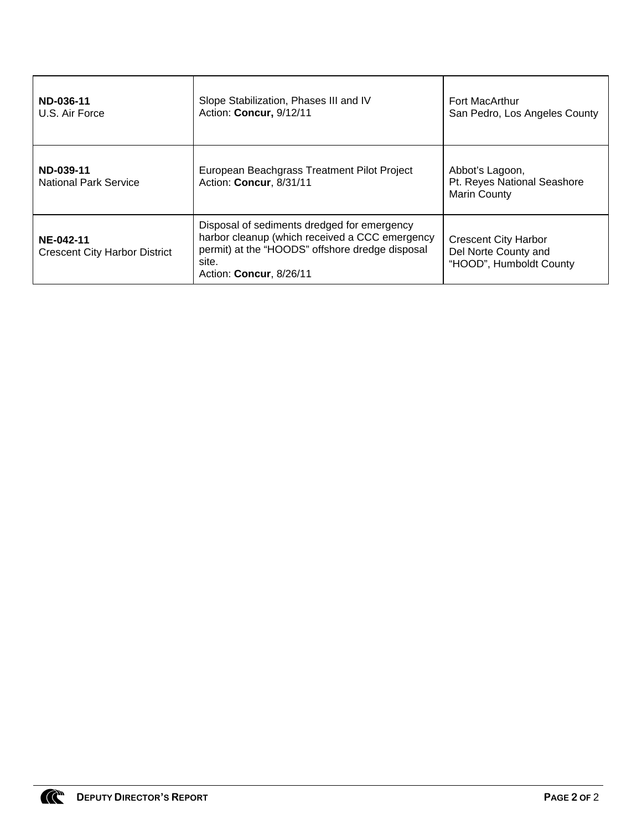| ND-036-11<br>U.S. Air Force                       | Slope Stabilization, Phases III and IV<br>Action: Concur, 9/12/11                                                                                                                            | <b>Fort MacArthur</b><br>San Pedro, Los Angeles County                         |
|---------------------------------------------------|----------------------------------------------------------------------------------------------------------------------------------------------------------------------------------------------|--------------------------------------------------------------------------------|
| ND-039-11<br><b>National Park Service</b>         | European Beachgrass Treatment Pilot Project<br>Action: Concur, 8/31/11                                                                                                                       | Abbot's Lagoon,<br>Pt. Reyes National Seashore<br><b>Marin County</b>          |
| NE-042-11<br><b>Crescent City Harbor District</b> | Disposal of sediments dredged for emergency<br>harbor cleanup (which received a CCC emergency<br>permit) at the "HOODS" offshore dredge disposal<br>site.<br>Action: <b>Concur</b> , 8/26/11 | <b>Crescent City Harbor</b><br>Del Norte County and<br>"HOOD", Humboldt County |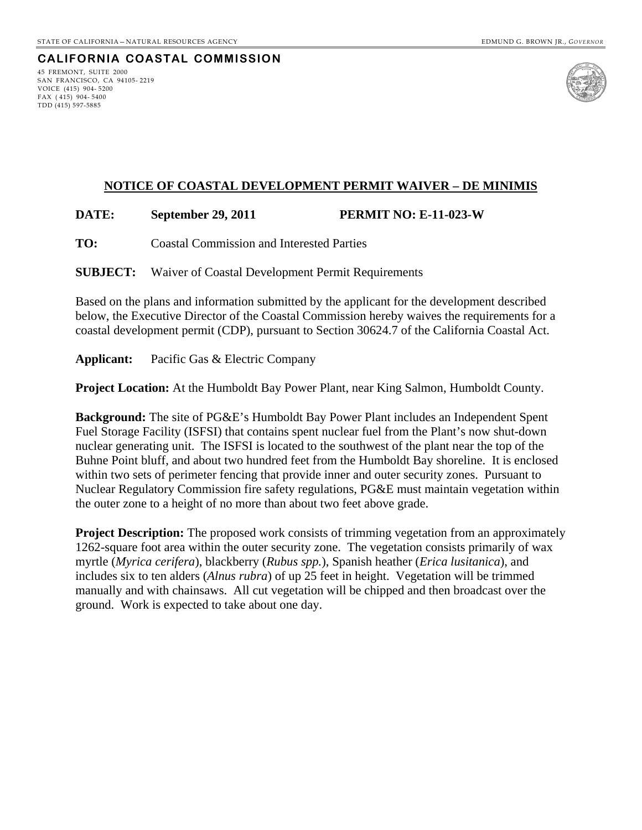### **CALIFORNIA COASTAL COMMISSION** 45 FREMONT, SUITE 2000

SAN FRANCISCO, CA 94105- 2219 VOICE (415) 904- 5200 FAX ( 415) 904- 5400 TDD (415) 597-5885



### **NOTICE OF COASTAL DEVELOPMENT PERMIT WAIVER – DE MINIMIS**

### **DATE: September 29, 2011 PERMIT NO: E-11-023-W**

**TO:** Coastal Commission and Interested Parties

**SUBJECT:** Waiver of Coastal Development Permit Requirements

Based on the plans and information submitted by the applicant for the development described below, the Executive Director of the Coastal Commission hereby waives the requirements for a coastal development permit (CDP), pursuant to Section 30624.7 of the California Coastal Act.

**Applicant:** Pacific Gas & Electric Company

**Project Location:** At the Humboldt Bay Power Plant, near King Salmon, Humboldt County.

**Background:** The site of PG&E's Humboldt Bay Power Plant includes an Independent Spent Fuel Storage Facility (ISFSI) that contains spent nuclear fuel from the Plant's now shut-down nuclear generating unit. The ISFSI is located to the southwest of the plant near the top of the Buhne Point bluff, and about two hundred feet from the Humboldt Bay shoreline. It is enclosed within two sets of perimeter fencing that provide inner and outer security zones. Pursuant to Nuclear Regulatory Commission fire safety regulations, PG&E must maintain vegetation within the outer zone to a height of no more than about two feet above grade.

**Project Description:** The proposed work consists of trimming vegetation from an approximately 1262-square foot area within the outer security zone. The vegetation consists primarily of wax myrtle (*Myrica cerifera*), blackberry (*Rubus spp.*), Spanish heather (*Erica lusitanica*), and includes six to ten alders (*Alnus rubra*) of up 25 feet in height. Vegetation will be trimmed manually and with chainsaws. All cut vegetation will be chipped and then broadcast over the ground. Work is expected to take about one day.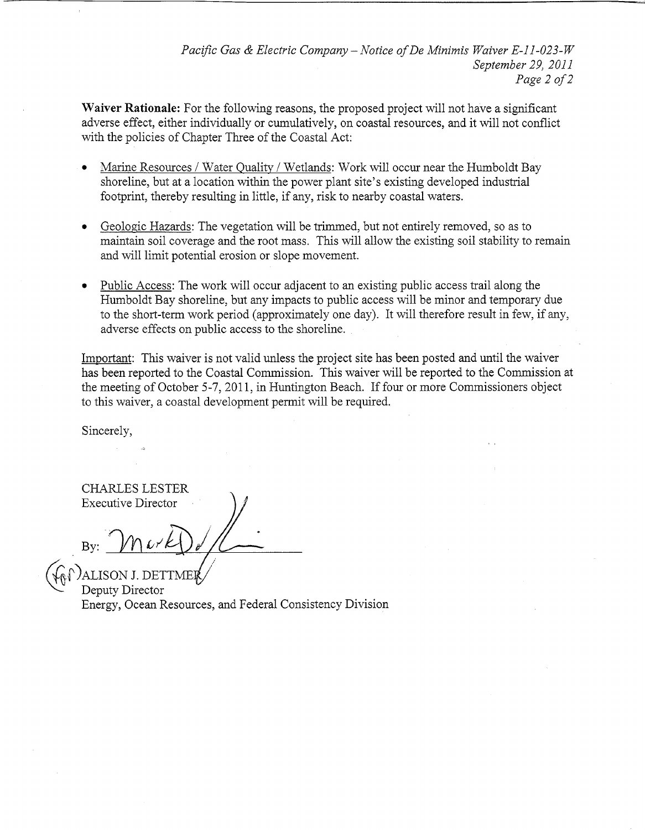Waiver Rationale: For the following reasons, the proposed project will not have a significant adverse effect, either individually or cumulatively, on coastal resources, and it will not conflict with the policies of Chapter Three of the Coastal Act:

- Marine Resources / Water Quality / Wetlands: Work will occur near the Humboldt Bay shoreline, but at a location within the power plant site's existing developed industrial footprint, thereby resulting in little, if any, risk to nearby coastal waters.
- Geologic Hazards: The vegetation will be trimmed, but not entirely removed, so as to  $\bullet$ maintain soil coverage and the root mass. This will allow the existing soil stability to remain and will limit potential erosion or slope movement.
- Public Access: The work will occur adjacent to an existing public access trail along the Humboldt Bay shoreline, but any impacts to public access will be minor and temporary due to the short-term work period (approximately one day). It will therefore result in few, if any, adverse effects on public access to the shoreline.

Important: This waiver is not valid unless the project site has been posted and until the waiver has been reported to the Coastal Commission. This waiver will be reported to the Commission at the meeting of October 5-7, 2011, in Huntington Beach. If four or more Commissioners object to this waiver, a coastal development permit will be required.

Sincerely,

**CHARLES LESTER Executive Director** 

ALISON J. DETT Deputy Director Energy, Ocean Resources, and Federal Consistency Division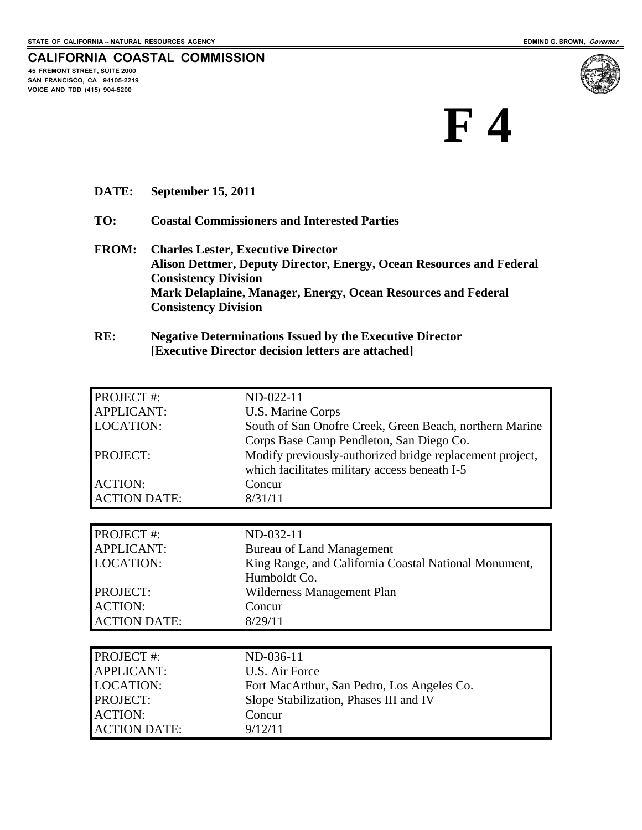**VOICE AND TDD (415) 904-5200** 

**CALIFORNIA COASTAL COMMISSION 45 FREMONT STREET, SUITE 2000 SAN FRANCISCO, CA 94105-2219** 



**DATE: September 15, 2011** 

ACTION DATE: 9/12/11

- **TO: Coastal Commissioners and Interested Parties**
- **FROM: Charles Lester, Executive Director Alison Dettmer, Deputy Director, Energy, Ocean Resources and Federal Consistency Division Mark Delaplaine, Manager, Energy, Ocean Resources and Federal Consistency Division**
- **RE: Negative Determinations Issued by the Executive Director [Executive Director decision letters are attached]**

| <b>PROJECT#:</b>    | ND-022-11                                                |  |
|---------------------|----------------------------------------------------------|--|
| <b>APPLICANT:</b>   | U.S. Marine Corps                                        |  |
| <b>LOCATION:</b>    | South of San Onofre Creek, Green Beach, northern Marine  |  |
|                     | Corps Base Camp Pendleton, San Diego Co.                 |  |
| PROJECT:            | Modify previously-authorized bridge replacement project, |  |
|                     | which facilitates military access beneath I-5            |  |
| <b>ACTION:</b>      | Concur                                                   |  |
| <b>ACTION DATE:</b> | 8/31/11                                                  |  |
|                     |                                                          |  |
| PROJECT #:          | ND-032-11                                                |  |
| <b>APPLICANT:</b>   | <b>Bureau of Land Management</b>                         |  |
| <b>LOCATION:</b>    | King Range, and California Coastal National Monument,    |  |
|                     | Humboldt Co.                                             |  |
| PROJECT:            | Wilderness Management Plan                               |  |
| <b>ACTION:</b>      | Concur                                                   |  |
| <b>ACTION DATE:</b> | 8/29/11                                                  |  |
|                     |                                                          |  |
| <b>PROJECT#:</b>    | ND-036-11                                                |  |
| <b>APPLICANT:</b>   | U.S. Air Force                                           |  |
| <b>LOCATION:</b>    | Fort MacArthur, San Pedro, Los Angeles Co.               |  |
| PROJECT:            | Slope Stabilization, Phases III and IV                   |  |
| <b>ACTION:</b>      | Concur                                                   |  |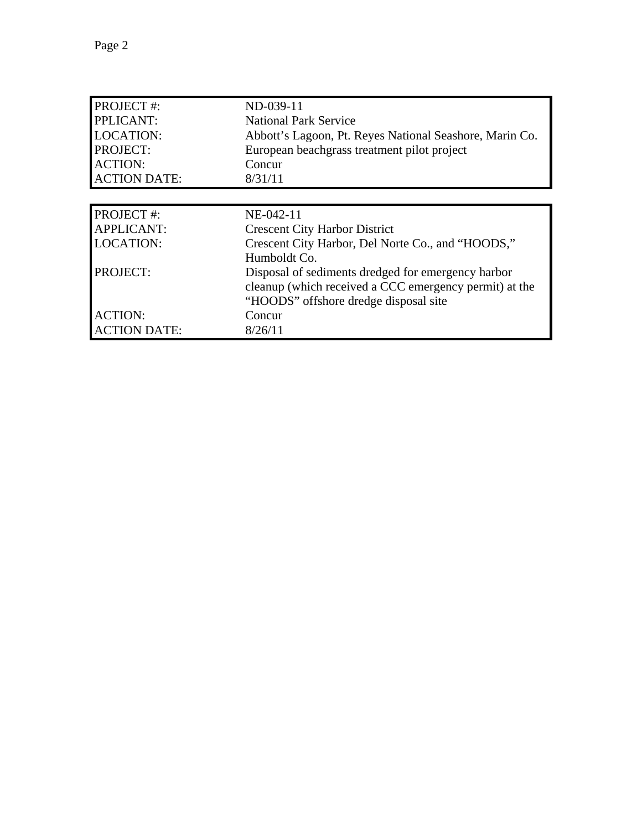| <b>PROJECT#:</b>    | ND-039-11                                               |
|---------------------|---------------------------------------------------------|
| PPLICANT:           | <b>National Park Service</b>                            |
| <b>LOCATION:</b>    | Abbott's Lagoon, Pt. Reyes National Seashore, Marin Co. |
| <b>PROJECT:</b>     | European beachgrass treatment pilot project             |
| <b>ACTION:</b>      | Concur                                                  |
| <b>ACTION DATE:</b> | 8/31/11                                                 |
|                     |                                                         |
| <b>PROJECT#:</b>    | NE-042-11                                               |
| <b>APPLICANT:</b>   | <b>Crescent City Harbor District</b>                    |
| <b>LOCATION:</b>    | Crescent City Harbor, Del Norte Co., and "HOODS,"       |
|                     | Humboldt Co.                                            |
| <b>PROJECT:</b>     | Disposal of sediments dredged for emergency harbor      |
|                     | cleanup (which received a CCC emergency permit) at the  |
|                     | "HOODS" offshore dredge disposal site                   |
| <b>ACTION:</b>      | Concur                                                  |
| <b>ACTION DATE:</b> | 8/26/11                                                 |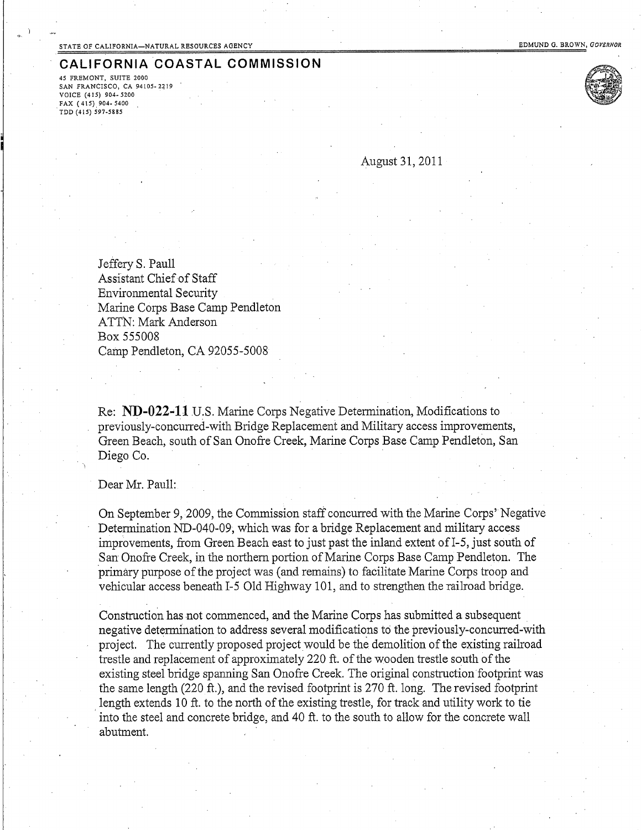45 FREMONT, SUITE 2000 SAN FRANCISCO, CA 94105-2219 VOICE (415) 904-5200 FAX (415) 904-5400 TDD (415) 597-5885



August 31, 2011

Jeffery S. Paull Assistant Chief of Staff **Environmental Security** Marine Corps Base Camp Pendleton **ATTN: Mark Anderson** Box 555008 Camp Pendleton, CA 92055-5008

Re: ND-022-11 U.S. Marine Corps Negative Determination, Modifications to previously-concurred-with Bridge Replacement and Military access improvements, Green Beach, south of San Onofre Creek, Marine Corps Base Camp Pendleton, San Diego Co.

### Dear Mr. Paull:

On September 9, 2009, the Commission staff concurred with the Marine Corps' Negative Determination ND-040-09, which was for a bridge Replacement and military access improvements, from Green Beach east to just past the inland extent of I-5, just south of San Onofre Creek, in the northern portion of Marine Corps Base Camp Pendleton. The primary purpose of the project was (and remains) to facilitate Marine Corps troop and vehicular access beneath I-5 Old Highway 101, and to strengthen the railroad bridge.

Construction has not commenced, and the Marine Corps has submitted a subsequent negative determination to address several modifications to the previously-concurred-with project. The currently proposed project would be the demolition of the existing railroad trestle and replacement of approximately 220 ft. of the wooden trestle south of the existing steel bridge spanning San Onofre Creek. The original construction footprint was the same length (220 ft.), and the revised footprint is 270 ft. long. The revised footprint length extends 10 ft. to the north of the existing trestle, for track and utility work to tie into the steel and concrete bridge, and 40 ft. to the south to allow for the concrete wall abutment.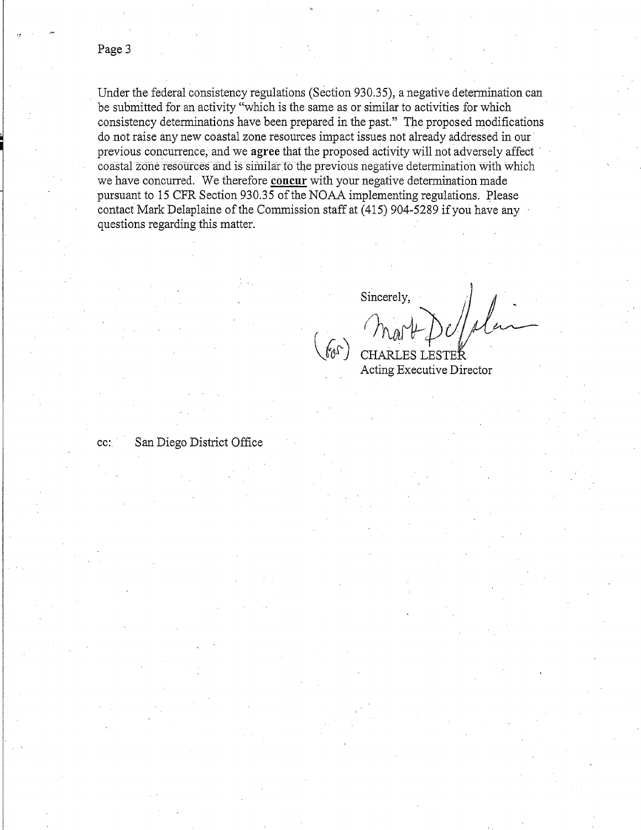Under the federal consistency regulations (Section 930.35), a negative determination can be submitted for an activity "which is the same as or similar to activities for which consistency determinations have been prepared in the past." The proposed modifications do not raise any new coastal zone resources impact issues not already addressed in our previous concurrence, and we agree that the proposed activity will not adversely affect coastal zone resources and is similar to the previous negative determination with which we have concurred. We therefore concur with your negative determination made pursuant to 15 CFR Section 930.35 of the NOAA implementing regulations. Please contact Mark Delaplaine of the Commission staff at (415) 904-5289 if you have any questions regarding this matter.

Sincerely,

høy

CHARLES LESTEŘ

Acting Executive Director

San Diego District Office cc: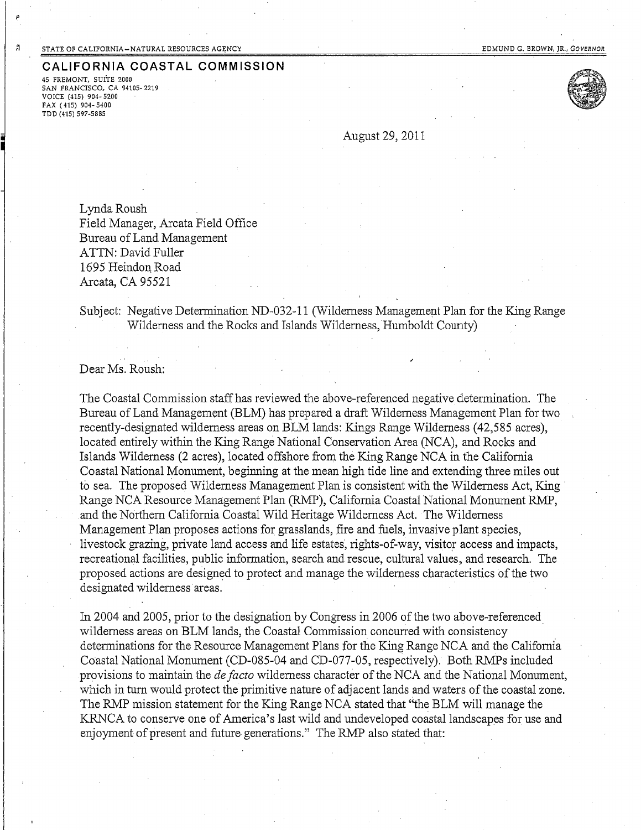$\boldsymbol{\mu}$ 

FAX (415) 904-5400 TDD (415) 597-5885

### CALIFORNIA COASTAL COMMISSION 45 FREMONT, SUITE 2000 SAN FRANCISCO, CA 94105-2219 VOICE (415) 904-5200



August 29, 2011

Lynda Roush Field Manager, Arcata Field Office Bureau of Land Management ATTN: David Fuller 1695 Heindon Road Arcata, CA 95521

Subject: Negative Determination ND-032-11 (Wilderness Management Plan for the King Range Wilderness and the Rocks and Islands Wilderness, Humboldt County)

Dear Ms. Roush:

The Coastal Commission staff has reviewed the above-referenced negative determination. The Bureau of Land Management (BLM) has prepared a draft Wilderness Management Plan for two recently-designated wilderness areas on BLM lands: Kings Range Wilderness (42,585 acres), located entirely within the King Range National Conservation Area (NCA), and Rocks and Islands Wilderness (2 acres), located offshore from the King Range NCA in the California Coastal National Monument, beginning at the mean high tide line and extending three miles out to sea. The proposed Wilderness Management Plan is consistent with the Wilderness Act, King Range NCA Resource Management Plan (RMP), California Coastal National Monument RMP, and the Northern California Coastal Wild Heritage Wilderness Act. The Wilderness Management Plan proposes actions for grasslands, fire and fuels, invasive plant species, livestock grazing, private land access and life estates, rights-of-way, visitor access and impacts, recreational facilities, public information, search and rescue, cultural values, and research. The proposed actions are designed to protect and manage the wilderness characteristics of the two designated wilderness areas.

In 2004 and 2005, prior to the designation by Congress in 2006 of the two above-referenced wilderness areas on BLM lands, the Coastal Commission concurred with consistency determinations for the Resource Management Plans for the King Range NCA and the California Coastal National Monument (CD-085-04 and CD-077-05, respectively). Both RMPs included provisions to maintain the *de facto* wilderness character of the NCA and the National Monument, which in turn would protect the primitive nature of adjacent lands and waters of the coastal zone. The RMP mission statement for the King Range NCA stated that "the BLM will manage the KRNCA to conserve one of America's last wild and undeveloped coastal landscapes for use and enjoyment of present and future generations." The RMP also stated that: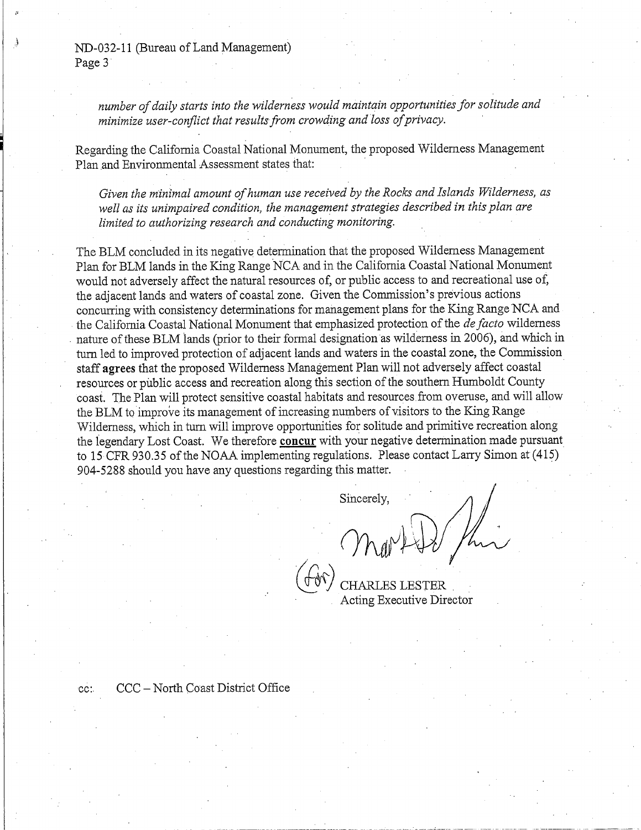ND-032-11 (Bureau of Land Management) Page 3

> number of daily starts into the wilderness would maintain opportunities for solitude and minimize user-conflict that results from crowding and loss of privacy.

Regarding the California Coastal National Monument, the proposed Wilderness Management Plan and Environmental Assessment states that:

Given the minimal amount of human use received by the Rocks and Islands Wilderness, as well as its unimpaired condition, the management strategies described in this plan are limited to authorizing research and conducting monitoring.

The BLM concluded in its negative determination that the proposed Wilderness Management Plan for BLM lands in the King Range NCA and in the California Coastal National Monument would not adversely affect the natural resources of, or public access to and recreational use of, the adjacent lands and waters of coastal zone. Given the Commission's previous actions concurring with consistency determinations for management plans for the King Range NCA and the California Coastal National Monument that emphasized protection of the *de facto* wilderness nature of these BLM lands (prior to their formal designation as wilderness in 2006), and which in turn led to improved protection of adjacent lands and waters in the coastal zone, the Commission staff agrees that the proposed Wilderness Management Plan will not adversely affect coastal resources or public access and recreation along this section of the southern Humboldt County coast. The Plan will protect sensitive coastal habitats and resources from overuse, and will allow the BLM to improve its management of increasing numbers of visitors to the King Range Wilderness, which in turn will improve opportunities for solitude and primitive recreation along the legendary Lost Coast. We therefore concur with your negative determination made pursuant to 15 CFR 930.35 of the NOAA implementing regulations. Please contact Larry Simon at (415) 904-5288 should you have any questions regarding this matter.

Sincerely,

) Min

Acting Executive Director

CCC - North Coast District Office  $cc$ :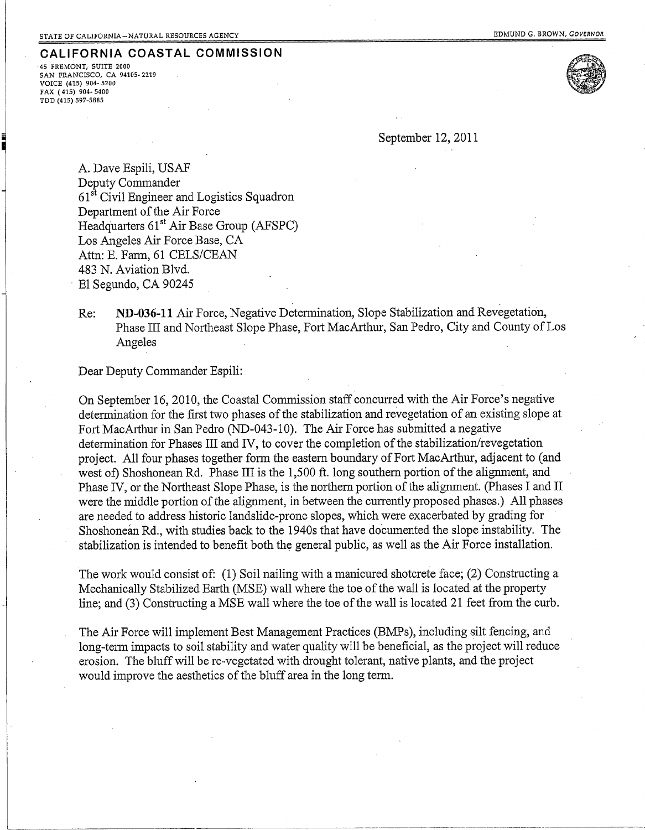45 FREMONT, SUITE 2000 SAN FRANCISCO, CA 94105-2219 VOICE (415) 904-5200 FAX (415) 904-5400 TDD (415) 597-5885



September 12, 2011

A. Dave Espili, USAF Deputy Commander 61<sup>st</sup> Civil Engineer and Logistics Squadron Department of the Air Force Headquarters 61<sup>st</sup> Air Base Group (AFSPC) Los Angeles Air Force Base, CA Attn: E. Farm, 61 CELS/CEAN 483 N. Aviation Blvd. El Segundo, CA 90245

ND-036-11 Air Force, Negative Determination, Slope Stabilization and Revegetation, Re: Phase III and Northeast Slope Phase, Fort MacArthur, San Pedro, City and County of Los Angeles

Dear Deputy Commander Espili:

On September 16, 2010, the Coastal Commission staff concurred with the Air Force's negative determination for the first two phases of the stabilization and revegetation of an existing slope at Fort MacArthur in San Pedro (ND-043-10). The Air Force has submitted a negative determination for Phases III and IV, to cover the completion of the stabilization/revegetation project. All four phases together form the eastern boundary of Fort MacArthur, adjacent to (and west of) Shoshonean Rd. Phase III is the 1,500 ft. long southern portion of the alignment, and Phase IV, or the Northeast Slope Phase, is the northern portion of the alignment. (Phases I and II were the middle portion of the alignment, in between the currently proposed phases.) All phases are needed to address historic landslide-prone slopes, which were exacerbated by grading for Shoshonean Rd., with studies back to the 1940s that have documented the slope instability. The stabilization is intended to benefit both the general public, as well as the Air Force installation.

The work would consist of: (1) Soil nailing with a manicured shotcrete face; (2) Constructing a Mechanically Stabilized Earth (MSE) wall where the toe of the wall is located at the property line; and (3) Constructing a MSE wall where the toe of the wall is located 21 feet from the curb.

The Air Force will implement Best Management Practices (BMPs), including silt fencing, and long-term impacts to soil stability and water quality will be beneficial, as the project will reduce erosion. The bluff will be re-vegetated with drought tolerant, native plants, and the project would improve the aesthetics of the bluff area in the long term.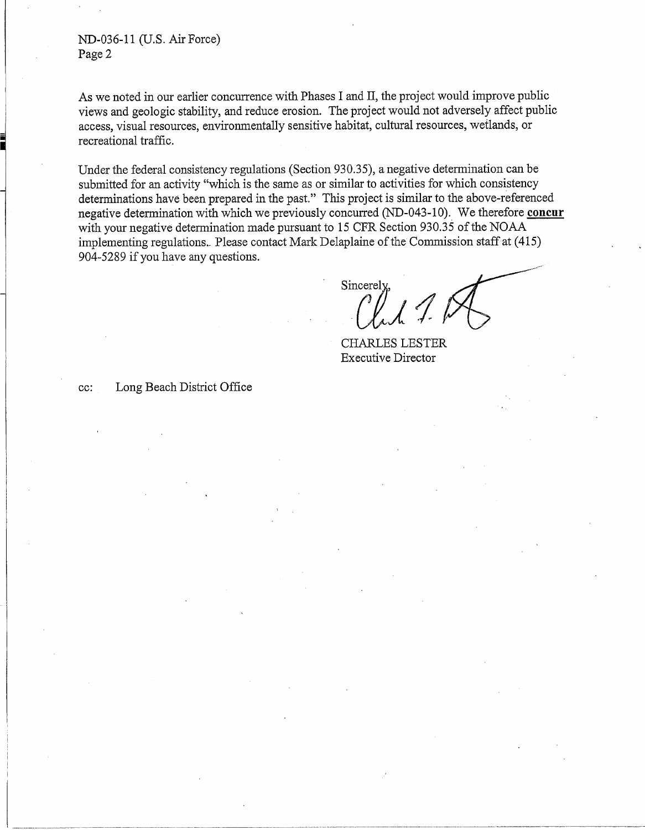ND-036-11 (U.S. Air Force) Page 2

As we noted in our earlier concurrence with Phases I and II, the project would improve public views and geologic stability, and reduce erosion. The project would not adversely affect public access, visual resources, environmentally sensitive habitat, cultural resources, wetlands, or recreational traffic.

Under the federal consistency regulations (Section 930.35), a negative determination can be submitted for an activity "which is the same as or similar to activities for which consistency determinations have been prepared in the past." This project is similar to the above-referenced negative determination with which we previously concurred (ND-043-10). We therefore concur with your negative determination made pursuant to 15 CFR Section 930.35 of the NOAA implementing regulations. Please contact Mark Delaplaine of the Commission staff at (415) 904-5289 if you have any questions.

Sincerely

**CHARLES LESTER Executive Director** 

Long Beach District Office cc: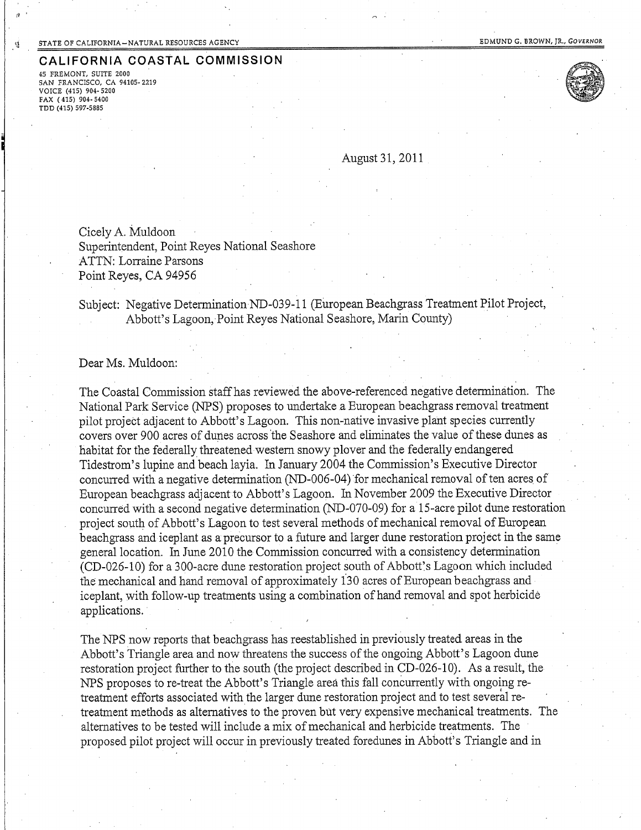45 FREMONT, SUITE 2000 SAN FRANCISCO, CA 94105-2219 VOICE (415) 904-5200 FAX (415) 904-5400 TDD (415) 597-5885



August 31, 2011

Cicely A. Muldoon Superintendent, Point Reyes National Seashore **ATTN: Lorraine Parsons** Point Reves, CA 94956

Subject: Negative Determination ND-039-11 (European Beachgrass Treatment Pilot Project, Abbott's Lagoon, Point Reyes National Seashore, Marin County)

Dear Ms. Muldoon:

The Coastal Commission staff has reviewed the above-referenced negative determination. The National Park Service (NPS) proposes to undertake a European beachgrass removal treatment pilot project adjacent to Abbott's Lagoon. This non-native invasive plant species currently covers over 900 acres of dunes across the Seashore and eliminates the value of these dunes as habitat for the federally threatened western snowy plover and the federally endangered Tidestrom's lupine and beach layia. In January 2004 the Commission's Executive Director concurred with a negative determination (ND-006-04) for mechanical removal of ten acres of European beachgrass adjacent to Abbott's Lagoon. In November 2009 the Executive Director concurred with a second negative determination (ND-070-09) for a 15-acre pilot dune restoration project south of Abbott's Lagoon to test several methods of mechanical removal of European beachgrass and iceplant as a precursor to a future and larger dune restoration project in the same general location. In June 2010 the Commission concurred with a consistency determination (CD-026-10) for a 300-acre dune restoration project south of Abbott's Lagoon which included the mechanical and hand removal of approximately 130 acres of European beachgrass and iceplant, with follow-up treatments using a combination of hand removal and spot herbicide applications.

The NPS now reports that beachgrass has reestablished in previously treated areas in the Abbott's Triangle area and now threatens the success of the ongoing Abbott's Lagoon dune restoration project further to the south (the project described in CD-026-10). As a result, the NPS proposes to re-treat the Abbott's Triangle area this fall concurrently with ongoing retreatment efforts associated with the larger dune restoration project and to test several retreatment methods as alternatives to the proven but very expensive mechanical treatments. The alternatives to be tested will include a mix of mechanical and herbicide treatments. The proposed pilot project will occur in previously treated foredunes in Abbott's Triangle and in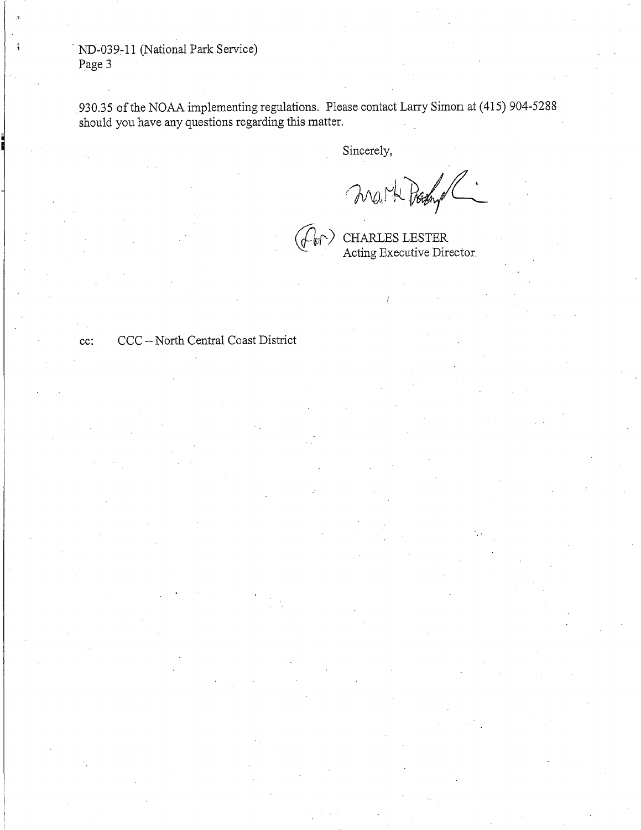ND-039-11 (National Park Service) Page 3

930.35 of the NOAA implementing regulations. Please contact Larry Simon at (415) 904-5288 should you have any questions regarding this matter.

Sincerely,

MON H Propy

 $cc$ :

CCC - North Central Coast District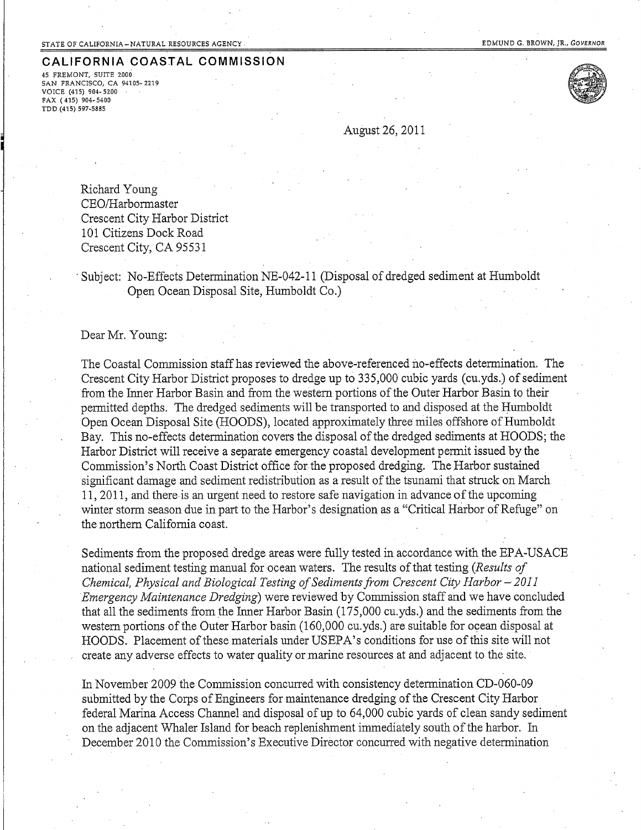45 FREMONT, SUITE 2000 SAN FRANCISCO, CA 94105-2219 VOICE (415) 904-5200 FAX (415) 904-5400 TDD (415) 597-5885



August 26, 2011

Richard Young CEO/Harbormaster Crescent City Harbor District 101 Citizens Dock Road Crescent City, CA 95531

Subject: No-Effects Determination NE-042-11 (Disposal of dredged sediment at Humboldt Open Ocean Disposal Site, Humboldt Co.)

Dear Mr. Young:

The Coastal Commission staff has reviewed the above-referenced no-effects determination. The Crescent City Harbor District proposes to dredge up to 335,000 cubic yards (cu.yds.) of sediment from the Inner Harbor Basin and from the western portions of the Outer Harbor Basin to their permitted depths. The dredged sediments will be transported to and disposed at the Humboldt Open Ocean Disposal Site (HOODS), located approximately three miles offshore of Humboldt Bay. This no-effects determination covers the disposal of the dredged sediments at HOODS; the Harbor District will receive a separate emergency coastal development permit issued by the Commission's North Coast District office for the proposed dredging. The Harbor sustained significant damage and sediment redistribution as a result of the tsunami that struck on March 11, 2011, and there is an urgent need to restore safe navigation in advance of the upcoming winter storm season due in part to the Harbor's designation as a "Critical Harbor of Refuge" on the northern California coast.

Sediments from the proposed dredge areas were fully tested in accordance with the EPA-USACE national sediment testing manual for ocean waters. The results of that testing (Results of Chemical, Physical and Biological Testing of Sediments from Crescent City Harbor – 2011 Emergency Maintenance Dredging) were reviewed by Commission staff and we have concluded that all the sediments from the Inner Harbor Basin (175,000 cu.yds.) and the sediments from the western portions of the Outer Harbor basin (160,000 cu.yds.) are suitable for ocean disposal at HOODS. Placement of these materials under USEPA's conditions for use of this site will not create any adverse effects to water quality or marine resources at and adjacent to the site.

In November 2009 the Commission concurred with consistency determination CD-060-09 submitted by the Corps of Engineers for maintenance dredging of the Crescent City Harbor federal Marina Access Channel and disposal of up to 64,000 cubic yards of clean sandy sediment on the adjacent Whaler Island for beach replenishment immediately south of the harbor. In December 2010 the Commission's Executive Director concurred with negative determination